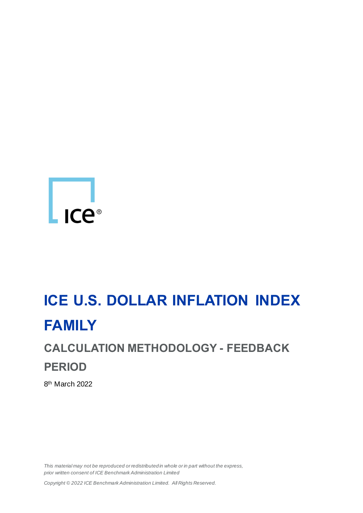

# **ICE U.S. DOLLAR INFLATION INDEX FAMILY**

# **CALCULATION METHODOLOGY - FEEDBACK PERIOD**

8th March 2022

*This material may not be reproduced or redistributed in whole or in part without the express, prior written consent of ICE Benchmark Administration Limited*

*Copyright © 2022 ICE Benchmark Administration Limited. All Rights Reserved.*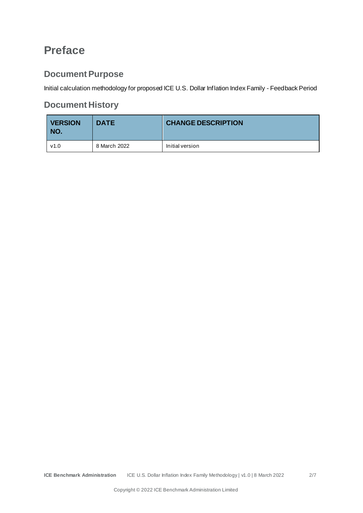## **Preface**

## **Document Purpose**

Initial calculation methodology for proposed ICE U.S. Dollar Inflation Index Family - Feedback Period

## **Document History**

| <b>VERSION</b><br>NO. | <b>DATE</b>  | <b>CHANGE DESCRIPTION</b> |
|-----------------------|--------------|---------------------------|
| v1.0                  | 8 March 2022 | Initial version           |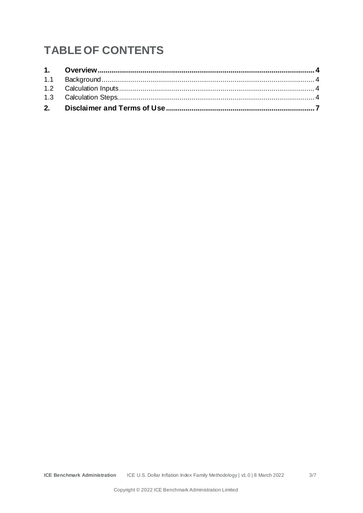# **TABLE OF CONTENTS**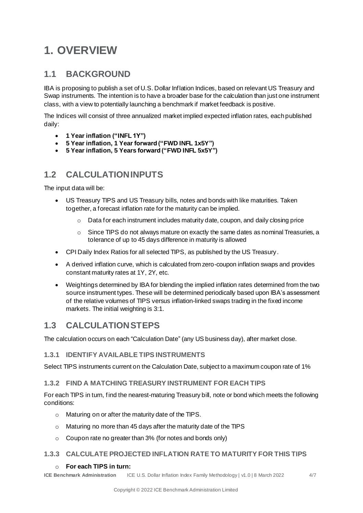## <span id="page-3-0"></span>**1. OVERVIEW**

### <span id="page-3-1"></span>**1.1 BACKGROUND**

IBA is proposing to publish a set of U.S. Dollar Inflation Indices, based on relevant US Treasury and Swap instruments. The intention is to have a broader base for the calculation than just one instrument class, with a view to potentially launching a benchmark if market feedback is positive.

The Indices will consist of three annualized market implied expected inflation rates, each published daily:

- **1 Year inflation ("INFL 1Y")**
- **5 Year inflation, 1 Year forward ("FWD INFL 1x5Y")**
- **5 Year inflation, 5 Years forward ("FWD INFL 5x5Y")**

## <span id="page-3-2"></span>**1.2 CALCULATION INPUTS**

The input data will be:

- US Treasury TIPS and US Treasury bills, notes and bonds with like maturities. Taken together, a forecast inflation rate for the maturity can be implied.
	- $\circ$  Data for each instrument includes maturity date, coupon, and daily closing price
	- $\circ$  Since TIPS do not always mature on exactly the same dates as nominal Treasuries, a tolerance of up to 45 days difference in maturity is allowed
- CPI Daily Index Ratios for all selected TIPS, as published by the US Treasury.
- A derived inflation curve, which is calculated from zero-coupon inflation swaps and provides constant maturity rates at 1Y, 2Y, etc.
- Weightings determined by IBA for blending the implied inflation rates determined from the two source instrument types. These will be determined periodically based upon IBA's assessment of the relative volumes of TIPS versus inflation-linked swaps trading in the fixed income markets. The initial weighting is 3:1.

## <span id="page-3-3"></span>**1.3 CALCULATION STEPS**

The calculation occurs on each "Calculation Date" (any US business day), after market close.

#### **1.3.1 IDENTIFY AVAILABLE TIPS INSTRUMENTS**

Select TIPS instruments current on the Calculation Date, subject to a maximum coupon rate of 1%

#### **1.3.2 FIND A MATCHING TREASURY INSTRUMENT FOR EACH TIPS**

For each TIPS in turn, find the nearest-maturing Treasury bill, note or bond which meets the following conditions:

- o Maturing on or after the maturity date of the TIPS.
- o Maturing no more than 45 days after the maturity date of the TIPS
- o Coupon rate no greater than 3% (for notes and bonds only)

#### **1.3.3 CALCULATE PROJECTED INFLATION RATE TO MATURITY FOR THIS TIPS**

#### o **For each TIPS in turn:**

**ICE Benchmark Administration** ICE U.S. Dollar Inflation Index Family Methodology | v1.0 | 8 March 2022 4/7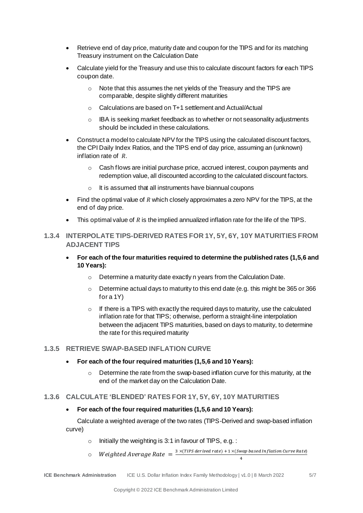- Retrieve end of day price, maturity date and coupon for the TIPS and for its matching Treasury instrument on the Calculation Date
- Calculate yield for the Treasury and use this to calculate discount factors for each TIPS coupon date.
	- o Note that this assumes the net yields of the Treasury and the TIPS are comparable, despite slightly different maturities
	- o Calculations are based on T+1 settlement and Actual/Actual
	- $\circ$  IBA is seeking market feedback as to whether or not seasonality adjustments should be included in these calculations.
- Construct a model to calculate NPV for the TIPS using the calculated discount factors, the CPI Daily Index Ratios, and the TIPS end of day price, assuming an (unknown) inflation rate of  $R$ .
	- $\circ$  Cash flows are initial purchase price, accrued interest, coupon payments and redemption value, all discounted according to the calculated discount factors.
	- o It is assumed that all instruments have biannual coupons
- Find the optimal value of R which closely approximates a zero NPV for the TIPS, at the end of day price.
- This optimal value of  $R$  is the implied annualized inflation rate for the life of the TIPS.
- **1.3.4 INTERPOLATE TIPS-DERIVED RATES FOR 1Y, 5Y, 6Y, 10Y MATURITIES FROM ADJACENT TIPS**
	- **For each of the four maturities required to determine the published rates (1,5,6 and 10 Years):**
		- $\circ$  Determine a maturity date exactly n years from the Calculation Date.
		- $\circ$  Determine actual days to maturity to this end date (e.g. this might be 365 or 366 for a 1Y)
		- $\circ$  If there is a TIPS with exactly the required days to maturity, use the calculated inflation rate for that TIPS; otherwise, perform a straight-line interpolation between the adjacent TIPS maturities, based on days to maturity, to determine the rate for this required maturity

#### **1.3.5 RETRIEVE SWAP-BASED INFLATION CURVE**

- **For each of the four required maturities (1,5,6 and 10 Years):**
	- $\circ$  Determine the rate from the swap-based inflation curve for this maturity, at the end of the market day on the Calculation Date.

#### **1.3.6 CALCULATE 'BLENDED' RATES FOR 1Y, 5Y, 6Y, 10Y MATURITIES**

#### • **For each of the four required maturities (1,5,6 and 10 Years):**

Calculate a weighted average of the two rates (TIPS-Derived and swap-based inflation curve)

- $\circ$  Initially the weighting is 3:1 in favour of TIPS, e.g. :
- $\circ$  Weighted Average Rate  $=$   $\frac{3 \times (TIPS\ derived\ rate) + 1 \times (Swap\ based\ In\ flat\ ion\ Curve Rate)}{2}$

4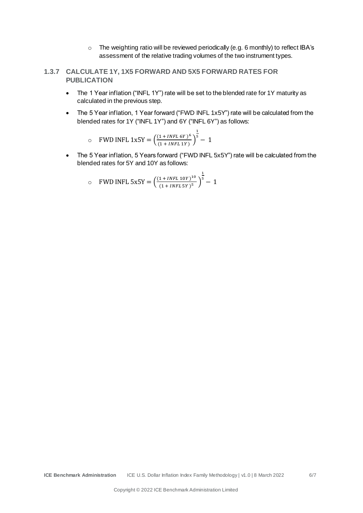o The weighting ratio will be reviewed periodically (e.g. 6 monthly) to reflect IBA's assessment of the relative trading volumes of the two instrument types.

#### **1.3.7 CALCULATE 1Y, 1X5 FORWARD AND 5X5 FORWARD RATES FOR PUBLICATION**

- The 1 Year inflation ("INFL 1Y") rate will be set to the blended rate for 1Y maturity as calculated in the previous step.
- The 5 Year inflation, 1 Year forward ("FWD INFL 1x5Y") rate will be calculated from the blended rates for 1Y ("INFL 1Y") and 6Y ("INFL 6Y") as follows:

$$
\circ \quad \text{FWD INFL 1x5Y} = \left(\frac{(1 + \text{INFL 6Y})^6}{(1 + \text{INFL 1Y})}\right)^{\frac{1}{5}} - 1
$$

• The 5 Year inflation, 5 Years forward ("FWD INFL 5x5Y") rate will be calculated from the blended rates for 5Y and 10Y as follows:

$$
\circ \quad \text{FWD INFL 5x5Y} = \left(\frac{(1 + INFL 10Y)^{10}}{(1 + INFL 5Y)^5}\right)^{\frac{1}{5}} - 1
$$